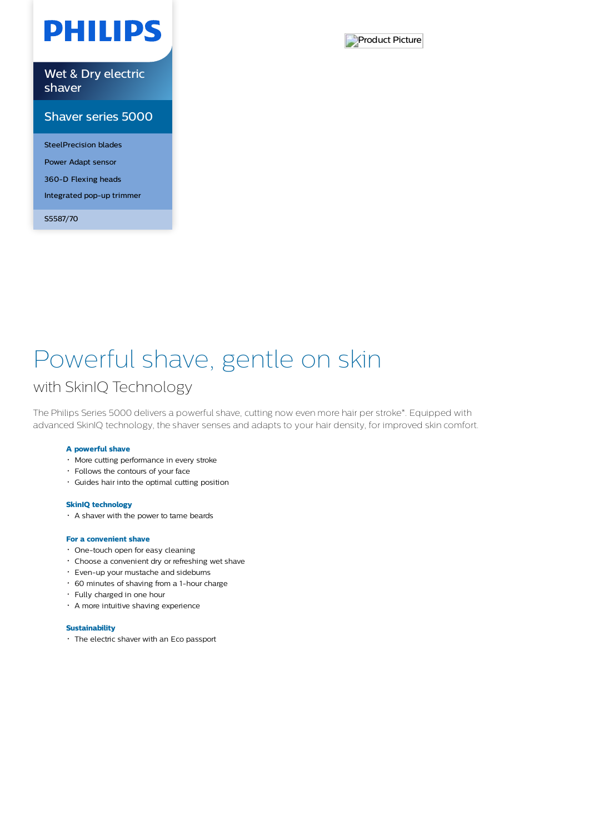# **PHILIPS**

Wet & Dry electric shaver

### Shaver series 5000

SteelPrecision blades Power Adapt sensor 360-D Flexing heads Integrated pop-up trimmer

S5587/70



# Powerful shave, gentle on skin

## with SkinIQ Technology

The Philips Series 5000 delivers a powerful shave, cutting now even more hair per stroke\*. Equipped with advanced SkinIQ technology, the shaver senses and adapts to your hair density, for improved skin comfort.

### **A powerful shave**

- More cutting performance in every stroke
- Follows the contours of your face
- Guides hair into the optimal cutting position

#### **SkinIQ technology**

A shaver with the power to tame beards

#### **For a convenient shave**

- One-touch open for easy cleaning
- Choose a convenient dry or refreshing wet shave
- Even-up your mustache and sideburns
- 60 minutes of shaving from a 1-hour charge
- Fully charged in one hour
- A more intuitive shaving experience

#### **Sustainability**

The electric shaver with an Eco passport